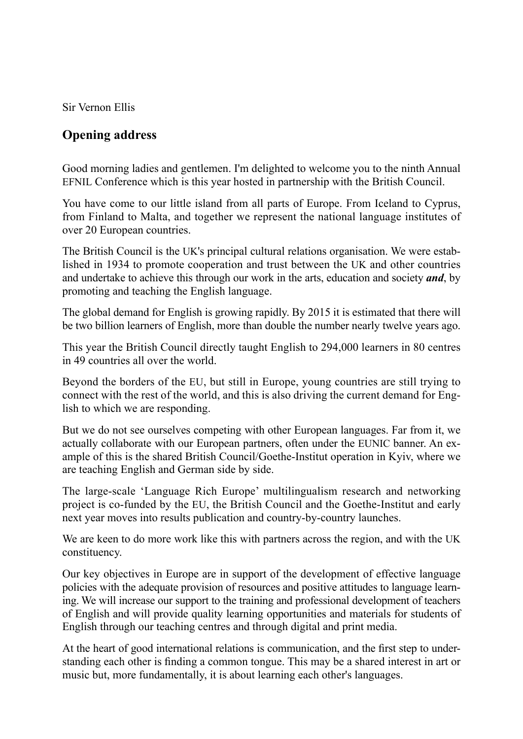Sir Vernon Ellis

## **Opening address**

Good morning ladies and gentlemen. I'm delighted to welcome you to the ninth Annual EFNIL Conference which is this year hosted in partnership with the British Council.

You have come to our little island from all parts of Europe. From Iceland to Cyprus, from Finland to Malta, and together we represent the national language institutes of over 20 European countries.

The British Council is the UK's principal cultural relations organisation. We were established in 1934 to promote cooperation and trust between the UK and other countries and undertake to achieve this through our work in the arts, education and society *and*, by promoting and teaching the English language.

The global demand for English is growing rapidly. By 2015 it is estimated that there will be two billion learners of English, more than double the number nearly twelve years ago.

This year the British Council directly taught English to 294,000 learners in 80 centres in 49 countries all over the world.

Beyond the borders of the EU, but still in Europe, young countries are still trying to connect with the rest of the world, and this is also driving the current demand for English to which we are responding.

But we do not see ourselves competing with other European languages. Far from it, we actually collaborate with our European partners, often under the EUNIC banner. An example of this is the shared British Council/Goethe-Institut operation in Kyiv, where we are teaching English and German side by side.

The large-scale 'Language Rich Europe' multilingualism research and networking project is co-funded by the EU, the British Council and the Goethe-Institut and early next year moves into results publication and country-by-country launches.

We are keen to do more work like this with partners across the region, and with the UK constituency.

Our key objectives in Europe are in support of the development of effective language policies with the adequate provision of resources and positive attitudes to language learning. We will increase our support to the training and professional development of teachers of English and will provide quality learning opportunities and materials for students of English through our teaching centres and through digital and print media.

At the heart of good international relations is communication, and the first step to understanding each other is finding a common tongue. This may be a shared interest in art or music but, more fundamentally, it is about learning each other's languages.